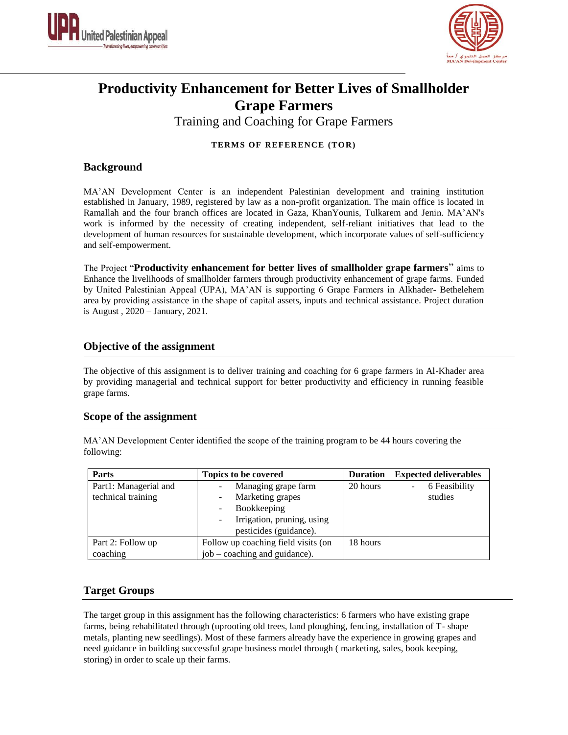



# **Productivity Enhancement for Better Lives of Smallholder Grape Farmers**

Training and Coaching for Grape Farmers

#### **TERMS OF REFERENCE (TOR)**

### **Background**

MA'AN Development Center is an independent Palestinian development and training institution established in January, 1989, registered by law as a non-profit organization. The main office is located in Ramallah and the four branch offices are located in Gaza, KhanYounis, Tulkarem and Jenin. MA'AN's work is informed by the necessity of creating independent, self-reliant initiatives that lead to the development of human resources for sustainable development, which incorporate values of self-sufficiency and self-empowerment.

The Project "**Productivity enhancement for better lives of smallholder grape farmers**" aims to Enhance the livelihoods of smallholder farmers through productivity enhancement of grape farms. Funded by United Palestinian Appeal (UPA), MA'AN is supporting 6 Grape Farmers in Alkhader- Bethelehem area by providing assistance in the shape of capital assets, inputs and technical assistance. Project duration is August , 2020 – January, 2021.

# **Objective of the assignment**

The objective of this assignment is to deliver training and coaching for 6 grape farmers in Al-Khader area by providing managerial and technical support for better productivity and efficiency in running feasible grape farms.

#### **Scope of the assignment**

MA'AN Development Center identified the scope of the training program to be 44 hours covering the following:

| <b>Parts</b>          | Topics to be covered                | <b>Duration</b> | <b>Expected deliverables</b> |  |
|-----------------------|-------------------------------------|-----------------|------------------------------|--|
| Part1: Managerial and | Managing grape farm                 | 20 hours        | 6 Feasibility                |  |
| technical training    | Marketing grapes                    |                 | studies                      |  |
|                       | Bookkeeping                         |                 |                              |  |
|                       | Irrigation, pruning, using          |                 |                              |  |
|                       | pesticides (guidance).              |                 |                              |  |
| Part 2: Follow up     | Follow up coaching field visits (on | 18 hours        |                              |  |
| coaching              | job – coaching and guidance).       |                 |                              |  |

# **Target Groups**

The target group in this assignment has the following characteristics: 6 farmers who have existing grape farms, being rehabilitated through (uprooting old trees, land ploughing, fencing, installation of T- shape metals, planting new seedlings). Most of these farmers already have the experience in growing grapes and need guidance in building successful grape business model through ( marketing, sales, book keeping, storing) in order to scale up their farms.